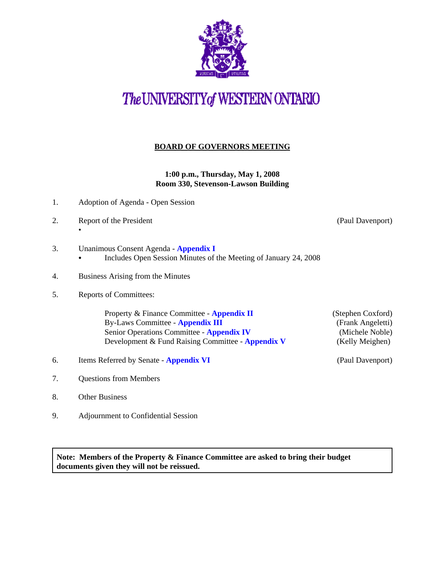

# The UNIVERSITY of WESTERN ONTARIO

#### **BOARD OF GOVERNORS MEETING**

**1:00 p.m., Thursday, May 1, 2008 Room 330, Stevenson-Lawson Building**

- 1. Adoption of Agenda Open Session
- 2. Report of the President (Paul Davenport) •
	-

- 3. Unanimous Consent Agenda **[Appendix I](http://www.uwo.ca/univsec/board/minutes/2008/r0805consent.pdf)** 
	- Includes Open Session Minutes of the Meeting of January 24, 2008
- 4. Business Arising from the Minutes
- 5. Reports of Committees:

Property & Finance Committee - **[Appendix II](http://www.uwo.ca/univsec/board/minutes/2008/r0805pf.pdf)** (Stephen Coxford) By-Laws Committee - **[Appendix III](http://www.uwo.ca/univsec/board/minutes/2008/r0805bylaws.pdf)** (Frank Angeletti) Senior Operations Committee - **Appendix IV** (Michele Noble) Development & Fund Raising Committee - **[Appendix V](http://www.uwo.ca/univsec/board/minutes/2008/r0805dfr.pdf)** (Kelly Meighen)

- 6. Items Referred by Senate **[Appendix VI](http://www.uwo.ca/univsec/board/minutes/2008/r0805sen.pdf)** (Paul Davenport)
- 7. Questions from Members
- 8. Other Business
- 9. Adjournment to Confidential Session

**Note: Members of the Property & Finance Committee are asked to bring their budget documents given they will not be reissued.**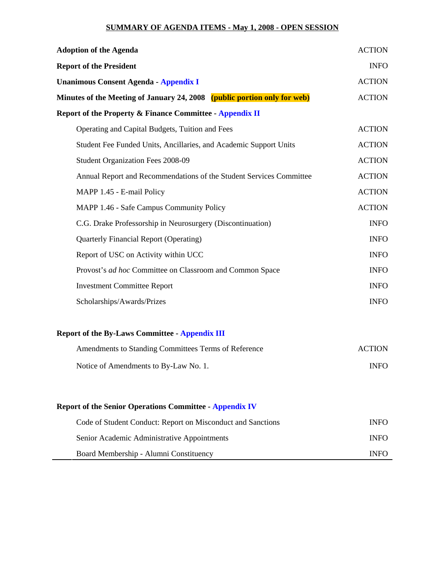### **SUMMARY OF AGENDA ITEMS - May 1, 2008 - OPEN SESSION**

| <b>Adoption of the Agenda</b>                                            | <b>ACTION</b> |
|--------------------------------------------------------------------------|---------------|
| <b>Report of the President</b>                                           | <b>INFO</b>   |
| <b>Unanimous Consent Agenda - Appendix I</b>                             | <b>ACTION</b> |
| Minutes of the Meeting of January 24, 2008 (public portion only for web) | <b>ACTION</b> |
| <b>Report of the Property &amp; Finance Committee - Appendix II</b>      |               |
| Operating and Capital Budgets, Tuition and Fees                          | <b>ACTION</b> |
| Student Fee Funded Units, Ancillaries, and Academic Support Units        | <b>ACTION</b> |
| <b>Student Organization Fees 2008-09</b>                                 | <b>ACTION</b> |
| Annual Report and Recommendations of the Student Services Committee      | <b>ACTION</b> |
| MAPP 1.45 - E-mail Policy                                                | <b>ACTION</b> |
| MAPP 1.46 - Safe Campus Community Policy                                 | <b>ACTION</b> |
| C.G. Drake Professorship in Neurosurgery (Discontinuation)               | <b>INFO</b>   |
| <b>Quarterly Financial Report (Operating)</b>                            | <b>INFO</b>   |
| Report of USC on Activity within UCC                                     | <b>INFO</b>   |
| Provost's ad hoc Committee on Classroom and Common Space                 | <b>INFO</b>   |
| <b>Investment Committee Report</b>                                       | <b>INFO</b>   |
| Scholarships/Awards/Prizes                                               | <b>INFO</b>   |
| <b>Report of the By-Laws Committee - Appendix III</b>                    |               |
| Amendments to Standing Committees Terms of Reference                     | <b>ACTION</b> |
| Notice of Amendments to By-Law No. 1.                                    | <b>INFO</b>   |
| <b>Report of the Senior Operations Committee - Appendix IV</b>           |               |
| Code of Student Conduct: Report on Misconduct and Sanctions              | <b>INFO</b>   |
| Senior Academic Administrative Appointments                              | <b>INFO</b>   |

Board Membership - Alumni Constituency INFO